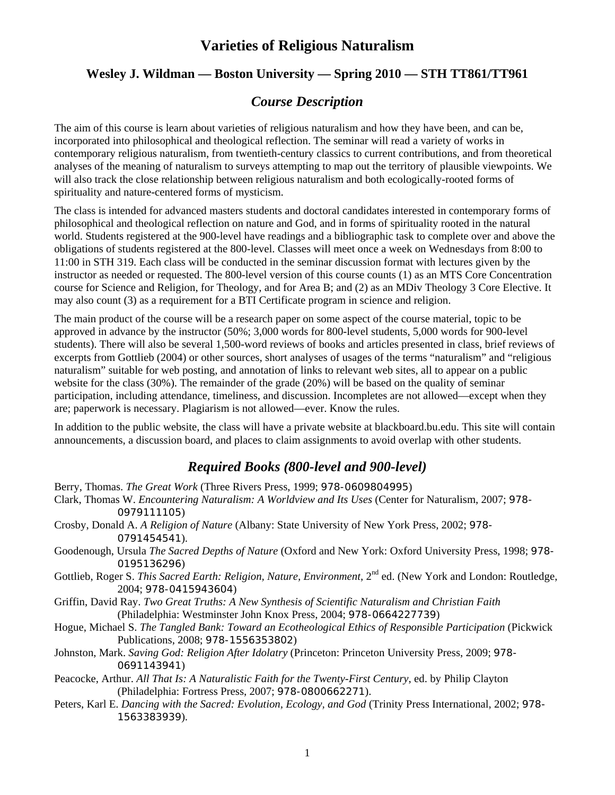## **Wesley J. Wildman — Boston University — Spring 2010 — STH TT861/TT961**

## *Course Description*

The aim of this course is learn about varieties of religious naturalism and how they have been, and can be, incorporated into philosophical and theological reflection. The seminar will read a variety of works in contemporary religious naturalism, from twentieth-century classics to current contributions, and from theoretical analyses of the meaning of naturalism to surveys attempting to map out the territory of plausible viewpoints. We will also track the close relationship between religious naturalism and both ecologically-rooted forms of spirituality and nature-centered forms of mysticism.

The class is intended for advanced masters students and doctoral candidates interested in contemporary forms of philosophical and theological reflection on nature and God, and in forms of spirituality rooted in the natural world. Students registered at the 900-level have readings and a bibliographic task to complete over and above the obligations of students registered at the 800-level. Classes will meet once a week on Wednesdays from 8:00 to 11:00 in STH 319. Each class will be conducted in the seminar discussion format with lectures given by the instructor as needed or requested. The 800-level version of this course counts (1) as an MTS Core Concentration course for Science and Religion, for Theology, and for Area B; and (2) as an MDiv Theology 3 Core Elective. It may also count (3) as a requirement for a BTI Certificate program in science and religion.

The main product of the course will be a research paper on some aspect of the course material, topic to be approved in advance by the instructor (50%; 3,000 words for 800-level students, 5,000 words for 900-level students). There will also be several 1,500-word reviews of books and articles presented in class, brief reviews of excerpts from Gottlieb (2004) or other sources, short analyses of usages of the terms "naturalism" and "religious naturalism" suitable for web posting, and annotation of links to relevant web sites, all to appear on a public website for the class (30%). The remainder of the grade (20%) will be based on the quality of seminar participation, including attendance, timeliness, and discussion. Incompletes are not allowed—except when they are; paperwork is necessary. Plagiarism is not allowed—ever. Know the rules.

In addition to the public website, the class will have a private website at blackboard.bu.edu. This site will contain announcements, a discussion board, and places to claim assignments to avoid overlap with other students.

## *Required Books (800-level and 900-level)*

- Berry, Thomas. *The Great Work* (Three Rivers Press, 1999; 978-0609804995)
- Clark, Thomas W. *Encountering Naturalism: A Worldview and Its Uses* (Center for Naturalism, 2007; 978- 0979111105)
- Crosby, Donald A. *A Religion of Nature* (Albany: State University of New York Press, 2002; 978- 0791454541).
- Goodenough, Ursula *The Sacred Depths of Nature* (Oxford and New York: Oxford University Press, 1998; 978- 0195136296)
- Gottlieb, Roger S. *This Sacred Earth: Religion, Nature, Environment*, 2<sup>nd</sup> ed. (New York and London: Routledge, 2004; 978-0415943604)
- Griffin, David Ray. *Two Great Truths: A New Synthesis of Scientific Naturalism and Christian Faith* (Philadelphia: Westminster John Knox Press, 2004; 978-0664227739)
- Hogue, Michael S. *The Tangled Bank: Toward an Ecotheological Ethics of Responsible Participation* (Pickwick Publications, 2008; 978-1556353802)
- Johnston, Mark. *Saving God: Religion After Idolatry* (Princeton: Princeton University Press, 2009; 978- 0691143941)
- Peacocke, Arthur. *All That Is: A Naturalistic Faith for the Twenty-First Century*, ed. by Philip Clayton (Philadelphia: Fortress Press, 2007; 978-0800662271).
- Peters, Karl E. *Dancing with the Sacred: Evolution, Ecology, and God* (Trinity Press International, 2002; 978- 1563383939).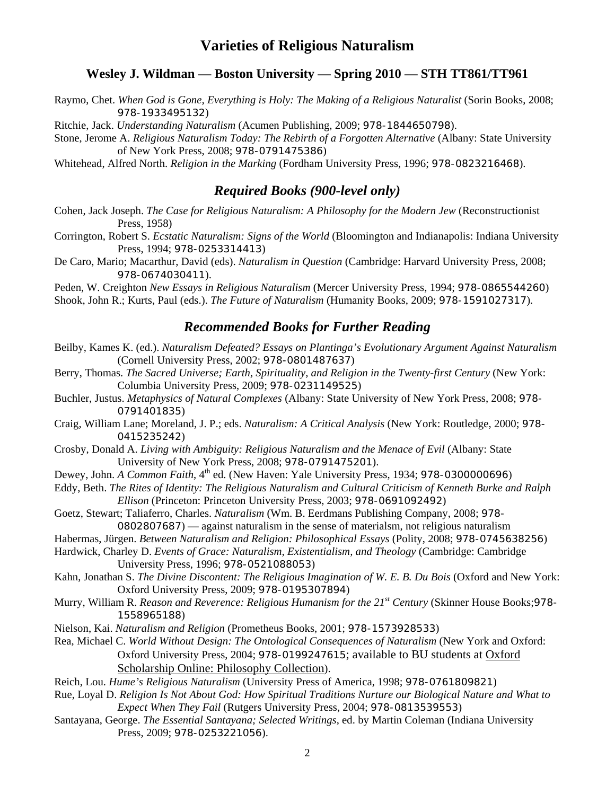### **Wesley J. Wildman — Boston University — Spring 2010 — STH TT861/TT961**

Raymo, Chet. *When God is Gone, Everything is Holy: The Making of a Religious Naturalist* (Sorin Books, 2008; 978-1933495132)

Ritchie, Jack. *Understanding Naturalism* (Acumen Publishing, 2009; 978-1844650798).

Stone, Jerome A. *Religious Naturalism Today: The Rebirth of a Forgotten Alternative* (Albany: State University of New York Press, 2008; 978-0791475386)

Whitehead, Alfred North. *Religion in the Marking* (Fordham University Press, 1996; 978-0823216468).

### *Required Books (900-level only)*

- Cohen, Jack Joseph. *The Case for Religious Naturalism: A Philosophy for the Modern Jew* (Reconstructionist Press, 1958)
- Corrington, Robert S. *Ecstatic Naturalism: Signs of the World* (Bloomington and Indianapolis: Indiana University Press, 1994; 978-0253314413)
- De Caro, Mario; Macarthur, David (eds). *Naturalism in Question* (Cambridge: Harvard University Press, 2008; 978-0674030411).

Peden, W. Creighton *New Essays in Religious Naturalism* (Mercer University Press, 1994; 978-0865544260) Shook, John R.; Kurts, Paul (eds.). *The Future of Naturalism* (Humanity Books, 2009; 978-1591027317).

### *Recommended Books for Further Reading*

- Beilby, Kames K. (ed.). *Naturalism Defeated? Essays on Plantinga's Evolutionary Argument Against Naturalism* (Cornell University Press, 2002; 978-0801487637)
- Berry, Thomas. *The Sacred Universe; Earth, Spirituality, and Religion in the Twenty-first Century* (New York: Columbia University Press, 2009; 978-0231149525)
- Buchler, Justus. *Metaphysics of Natural Complexes* (Albany: State University of New York Press, 2008; 978- 0791401835)
- Craig, William Lane; Moreland, J. P.; eds. *Naturalism: A Critical Analysis* (New York: Routledge, 2000; 978- 0415235242)
- Crosby, Donald A. *Living with Ambiguity: Religious Naturalism and the Menace of Evil* (Albany: State University of New York Press, 2008; 978-0791475201).
- Dewey, John. *A Common Faith*, 4<sup>th</sup> ed. (New Haven: Yale University Press, 1934; 978-0300000696)
- Eddy, Beth. *The Rites of Identity: The Religious Naturalism and Cultural Criticism of Kenneth Burke and Ralph Ellison* (Princeton: Princeton University Press, 2003; 978-0691092492)
- Goetz, Stewart; Taliaferro, Charles. *Naturalism* (Wm. B. Eerdmans Publishing Company, 2008; 978- 0802807687) — against naturalism in the sense of materialsm, not religious naturalism
- Habermas, Jürgen. *Between Naturalism and Religion: Philosophical Essays* (Polity, 2008; 978-0745638256)
- Hardwick, Charley D. *Events of Grace: Naturalism, Existentialism, and Theology* (Cambridge: Cambridge University Press, 1996; 978-0521088053)
- Kahn, Jonathan S. *The Divine Discontent: The Religious Imagination of W. E. B. Du Bois* (Oxford and New York: Oxford University Press, 2009; 978-0195307894)
- Murry, William R. *Reason and Reverence: Religious Humanism for the 21st Century* (Skinner House Books;978- 1558965188)
- Nielson, Kai. *Naturalism and Religion* (Prometheus Books, 2001; 978-1573928533)
- Rea, Michael C. *World Without Design: The Ontological Consequences of Naturalism* (New York and Oxford: Oxford University Press, 2004; 978-0199247615; available to BU students at [Oxford](outbind://25/search%7ES0?/mOxford+Scholarship+Online%3A+Philosophy+Collection/moxford+scholarship+online%3A+philosophy+collection/-3,-1,,B/browse)  [Scholarship Online: Philosophy Collection\)](outbind://25/search%7ES0?/mOxford+Scholarship+Online%3A+Philosophy+Collection/moxford+scholarship+online%3A+philosophy+collection/-3,-1,,B/browse).

Reich, Lou. *Hume's Religious Naturalism* (University Press of America, 1998; 978-0761809821)

- Rue, Loyal D. *Religion Is Not About God: How Spiritual Traditions Nurture our Biological Nature and What to Expect When They Fail* (Rutgers University Press, 2004; 978-0813539553)
- Santayana, George. *The Essential Santayana; Selected Writings*, ed. by Martin Coleman (Indiana University Press, 2009; 978-0253221056).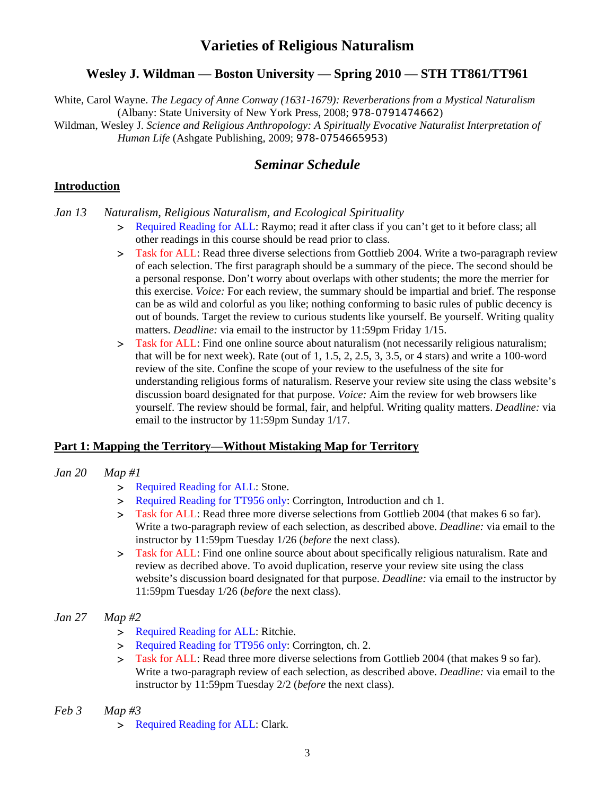## **Wesley J. Wildman — Boston University — Spring 2010 — STH TT861/TT961**

White, Carol Wayne. *The Legacy of Anne Conway (1631-1679): Reverberations from a Mystical Naturalism* (Albany: State University of New York Press, 2008; 978-0791474662)

Wildman, Wesley J. *Science and Religious Anthropology: A Spiritually Evocative Naturalist Interpretation of Human Life* (Ashgate Publishing, 2009; 978-0754665953)

## *Seminar Schedule*

### **Introduction**

*Jan 13 Naturalism, Religious Naturalism, and Ecological Spirituality* 

- > Required Reading for ALL: Raymo; read it after class if you can't get to it before class; all other readings in this course should be read prior to class.
- Task for ALL: Read three diverse selections from Gottlieb 2004. Write a two-paragraph review of each selection. The first paragraph should be a summary of the piece. The second should be a personal response. Don't worry about overlaps with other students; the more the merrier for this exercise. *Voice:* For each review, the summary should be impartial and brief. The response can be as wild and colorful as you like; nothing conforming to basic rules of public decency is out of bounds. Target the review to curious students like yourself. Be yourself. Writing quality matters. *Deadline:* via email to the instructor by 11:59pm Friday 1/15.
- > Task for ALL: Find one online source about naturalism (not necessarily religious naturalism; that will be for next week). Rate (out of  $1, 1.5, 2, 2.5, 3, 3.5$ , or 4 stars) and write a 100-word review of the site. Confine the scope of your review to the usefulness of the site for understanding religious forms of naturalism. Reserve your review site using the class website's discussion board designated for that purpose. *Voice:* Aim the review for web browsers like yourself. The review should be formal, fair, and helpful. Writing quality matters. *Deadline:* via email to the instructor by 11:59pm Sunday 1/17.

#### **Part 1: Mapping the Territory—Without Mistaking Map for Territory**

#### *Jan 20 Map #1*

- > Required Reading for ALL: Stone.
- > Required Reading for TT956 only: Corrington, Introduction and ch 1.
- Task for ALL: Read three more diverse selections from Gottlieb 2004 (that makes 6 so far). Write a two-paragraph review of each selection, as described above. *Deadline:* via email to the instructor by 11:59pm Tuesday 1/26 (*before* the next class).
- Task for ALL: Find one online source about about specifically religious naturalism. Rate and review as decribed above. To avoid duplication, reserve your review site using the class website's discussion board designated for that purpose. *Deadline:* via email to the instructor by 11:59pm Tuesday 1/26 (*before* the next class).

#### *Jan 27 Map #2*

- > Required Reading for ALL: Ritchie.
- > Required Reading for TT956 only: Corrington, ch. 2.
- Task for ALL: Read three more diverse selections from Gottlieb 2004 (that makes 9 so far). Write a two-paragraph review of each selection, as described above. *Deadline:* via email to the instructor by 11:59pm Tuesday 2/2 (*before* the next class).

#### *Feb 3 Map #3*

> Required Reading for ALL: Clark.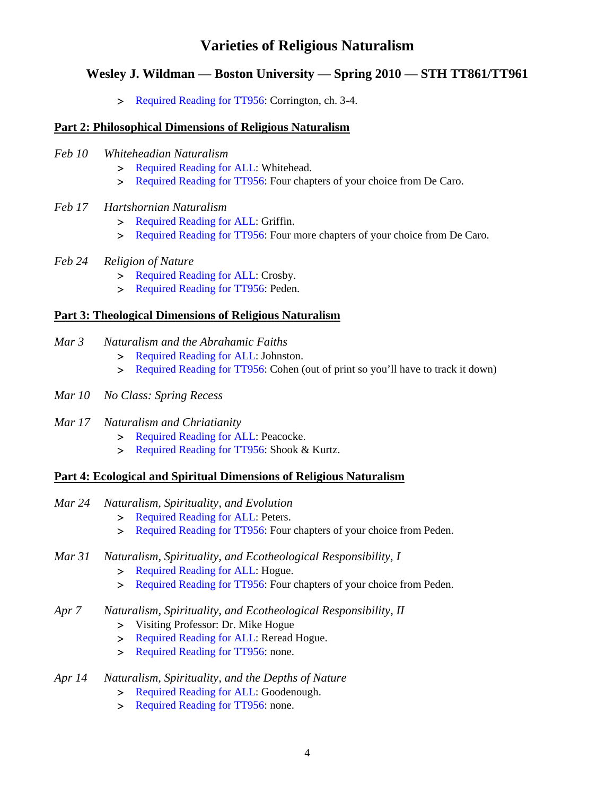### **Wesley J. Wildman — Boston University — Spring 2010 — STH TT861/TT961**

**Required Reading for TT956: Corrington, ch. 3-4.** 

### **Part 2: Philosophical Dimensions of Religious Naturalism**

- *Feb 10 Whiteheadian Naturalism* 
	- > Required Reading for ALL: Whitehead.
	- > Required Reading for TT956: Four chapters of your choice from De Caro.
- *Feb 17 Hartshornian Naturalism* 
	- > Required Reading for ALL: Griffin.
	- **Required Reading for TT956: Four more chapters of your choice from De Caro.**
- *Feb 24 Religion of Nature* 
	- > Required Reading for ALL: Crosby.
	- > Required Reading for TT956: Peden.

#### **Part 3: Theological Dimensions of Religious Naturalism**

- *Mar 3 Naturalism and the Abrahamic Faiths* 
	- > Required Reading for ALL: Johnston.
	- Required Reading for TT956: Cohen (out of print so you'll have to track it down)
- *Mar 10 No Class: Spring Recess*
- *Mar 17 Naturalism and Chriatianity* 
	- > Required Reading for ALL: Peacocke.
	- **Required Reading for TT956: Shook & Kurtz.**

#### **Part 4: Ecological and Spiritual Dimensions of Religious Naturalism**

- *Mar 24 Naturalism, Spirituality, and Evolution* 
	- > Required Reading for ALL: Peters.
	- > Required Reading for TT956: Four chapters of your choice from Peden.

#### *Mar 31 Naturalism, Spirituality, and Ecotheological Responsibility, I*

- > Required Reading for ALL: Hogue.
- > Required Reading for TT956: Four chapters of your choice from Peden.
- *Apr 7 Naturalism, Spirituality, and Ecotheological Responsibility, II* 
	- Visiting Professor: Dr. Mike Hogue
	- > Required Reading for ALL: Reread Hogue.
	- > Required Reading for TT956: none.

#### *Apr 14 Naturalism, Spirituality, and the Depths of Nature*

- > Required Reading for ALL: Goodenough.
- > Required Reading for TT956: none.